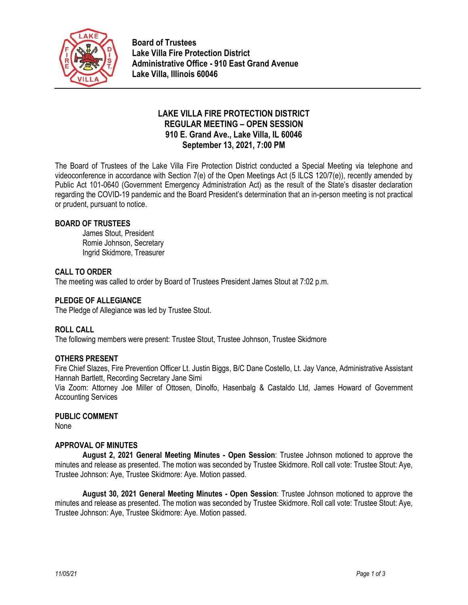

**Board of Trustees Lake Villa Fire Protection District Administrative Office - 910 East Grand Avenue Lake Villa, Illinois 60046**

# **LAKE VILLA FIRE PROTECTION DISTRICT REGULAR MEETING – OPEN SESSION 910 E. Grand Ave., Lake Villa, IL 60046 September 13, 2021, 7:00 PM**

The Board of Trustees of the Lake Villa Fire Protection District conducted a Special Meeting via telephone and videoconference in accordance with Section 7(e) of the Open Meetings Act (5 ILCS 120/7(e)), recently amended by Public Act 101-0640 (Government Emergency Administration Act) as the result of the State's disaster declaration regarding the COVID-19 pandemic and the Board President's determination that an in-person meeting is not practical or prudent, pursuant to notice.

## **BOARD OF TRUSTEES**

James Stout, President Romie Johnson, Secretary Ingrid Skidmore, Treasurer

## **CALL TO ORDER**

The meeting was called to order by Board of Trustees President James Stout at 7:02 p.m.

## **PLEDGE OF ALLEGIANCE**

The Pledge of Allegiance was led by Trustee Stout.

#### **ROLL CALL**

The following members were present: Trustee Stout, Trustee Johnson, Trustee Skidmore

#### **OTHERS PRESENT**

Fire Chief Slazes, Fire Prevention Officer Lt. Justin Biggs, B/C Dane Costello, Lt. Jay Vance, Administrative Assistant Hannah Bartlett, Recording Secretary Jane Simi

Via Zoom: Attorney Joe Miller of Ottosen, Dinolfo, Hasenbalg & Castaldo Ltd, James Howard of Government Accounting Services

#### **PUBLIC COMMENT**

None

#### **APPROVAL OF MINUTES**

**August 2, 2021 General Meeting Minutes - Open Session**: Trustee Johnson motioned to approve the minutes and release as presented. The motion was seconded by Trustee Skidmore. Roll call vote: Trustee Stout: Aye, Trustee Johnson: Aye, Trustee Skidmore: Aye. Motion passed.

**August 30, 2021 General Meeting Minutes - Open Session**: Trustee Johnson motioned to approve the minutes and release as presented. The motion was seconded by Trustee Skidmore. Roll call vote: Trustee Stout: Aye, Trustee Johnson: Aye, Trustee Skidmore: Aye. Motion passed.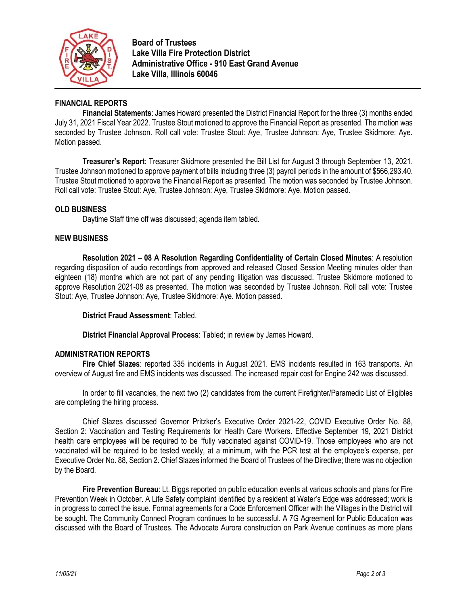

**Board of Trustees Lake Villa Fire Protection District Administrative Office - 910 East Grand Avenue Lake Villa, Illinois 60046**

## **FINANCIAL REPORTS**

**Financial Statements**: James Howard presented the District Financial Report for the three (3) months ended July 31, 2021 Fiscal Year 2022. Trustee Stout motioned to approve the Financial Report as presented. The motion was seconded by Trustee Johnson. Roll call vote: Trustee Stout: Aye, Trustee Johnson: Aye, Trustee Skidmore: Aye. Motion passed.

**Treasurer's Report**: Treasurer Skidmore presented the Bill List for August 3 through September 13, 2021. Trustee Johnson motioned to approve payment of bills including three (3) payroll periods in the amount of \$566,293.40. Trustee Stout motioned to approve the Financial Report as presented. The motion was seconded by Trustee Johnson. Roll call vote: Trustee Stout: Aye, Trustee Johnson: Aye, Trustee Skidmore: Aye. Motion passed.

## **OLD BUSINESS**

Daytime Staff time off was discussed; agenda item tabled.

## **NEW BUSINESS**

**Resolution 2021 – 08 A Resolution Regarding Confidentiality of Certain Closed Minutes**: A resolution regarding disposition of audio recordings from approved and released Closed Session Meeting minutes older than eighteen (18) months which are not part of any pending litigation was discussed. Trustee Skidmore motioned to approve Resolution 2021-08 as presented. The motion was seconded by Trustee Johnson. Roll call vote: Trustee Stout: Aye, Trustee Johnson: Aye, Trustee Skidmore: Aye. Motion passed.

**District Fraud Assessment**: Tabled.

**District Financial Approval Process**: Tabled; in review by James Howard.

#### **ADMINISTRATION REPORTS**

**Fire Chief Slazes**: reported 335 incidents in August 2021. EMS incidents resulted in 163 transports. An overview of August fire and EMS incidents was discussed. The increased repair cost for Engine 242 was discussed.

In order to fill vacancies, the next two (2) candidates from the current Firefighter/Paramedic List of Eligibles are completing the hiring process.

Chief Slazes discussed Governor Pritzker's Executive Order 2021-22, COVID Executive Order No. 88, Section 2: Vaccination and Testing Requirements for Health Care Workers. Effective September 19, 2021 District health care employees will be required to be "fully vaccinated against COVID-19. Those employees who are not vaccinated will be required to be tested weekly, at a minimum, with the PCR test at the employee's expense, per Executive Order No. 88, Section 2. Chief Slazes informed the Board of Trustees of the Directive; there was no objection by the Board.

**Fire Prevention Bureau**: Lt. Biggs reported on public education events at various schools and plans for Fire Prevention Week in October. A Life Safety complaint identified by a resident at Water's Edge was addressed; work is in progress to correct the issue. Formal agreements for a Code Enforcement Officer with the Villages in the District will be sought. The Community Connect Program continues to be successful. A 7G Agreement for Public Education was discussed with the Board of Trustees. The Advocate Aurora construction on Park Avenue continues as more plans